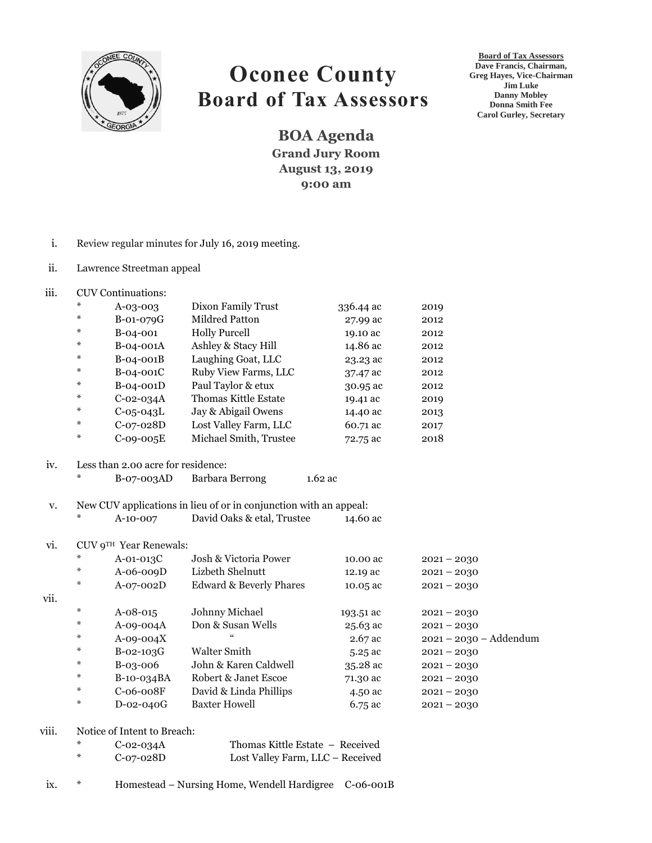

## **Oconee County Board of Tax Assessors**

**BOA Agenda Grand Jury Room August 13, 2019 9:00 am**

**Board of Tax Assessors Dave Francis, Chairman, Greg Hayes, Vice-Chairman Jim Luke Danny Mobley Donna Smith Fee Carol Gurley, Secretary**

- i. Review regular minutes for July 16, 2019 meeting.
- ii. Lawrence Streetman appeal
- iii. CUV Continuations:

| ⋇ | $A-0.3-00.3$    | Dixon Family Trust     | 336.44 ac | 2019 |
|---|-----------------|------------------------|-----------|------|
| ⋇ | B-01-079G       | Mildred Patton         | 27.99 ac  | 2012 |
| ⋇ | B-04-001        | <b>Holly Purcell</b>   | 19.10 ac  | 2012 |
| ⋇ | B-04-001A       | Ashley & Stacy Hill    | 14.86 ac  | 2012 |
| ∗ | B-04-001B       | Laughing Goat, LLC     | 23.23 ac  | 2012 |
| ⋇ | $B-04-001C$     | Ruby View Farms, LLC   | 37.47 ac  | 2012 |
| ⋇ | B-04-001D       | Paul Taylor & etux     | 30.95 ac  | 2012 |
| ⋇ | $C$ -02-034 $A$ | Thomas Kittle Estate   | 19.41 ac  | 2019 |
| ⋇ | $C-05-043L$     | Jay & Abigail Owens    | 14.40 ac  | 2013 |
| ⋇ | $C-07-028D$     | Lost Valley Farm, LLC  | 60.71 ac  | 2017 |
| ⋇ | $C-09-005E$     | Michael Smith, Trustee | 72.75 ac  | 2018 |

## iv. Less than 2.00 acre for residence:

- \* B-07-003AD Barbara Berrong 1.62 ac
- v. New CUV applications in lieu of or in conjunction with an appeal:
- \* A-10-007 David Oaks & etal, Trustee 14.60 ac

## vi. CUV 9TH Year Renewals:

vii.

| $*$    | $A-01-013C$    | Josh & Victoria Power              | 10.00 ac   | $2021 - 2030$            |
|--------|----------------|------------------------------------|------------|--------------------------|
| ⋇      | $A-06-009D$    | Lizbeth Shelnutt                   | 12.19 ac   | $2021 - 2030$            |
| ⋇      | A-07-002D      | <b>Edward &amp; Beverly Phares</b> | 10.05 ac   | $2021 - 2030$            |
| ⋇      | $A - 08 - 015$ | Johnny Michael                     | 193.51 ac  | $2021 - 2030$            |
| ⋇      | A-09-004A      | Don & Susan Wells                  | $25.63$ ac | $2021 - 2030$            |
| ⋇      | $A-09-004X$    | $\epsilon$                         | $2.67$ ac  | $2021 - 2030 - Addendum$ |
| ⋇      | $B-02-103G$    | Walter Smith                       | $5.25$ ac  | $2021 - 2030$            |
| ⋇      | $B-0.3-006$    | John & Karen Caldwell              | $35.28$ ac | $2021 - 2030$            |
| ⋇      | B-10-034BA     | Robert & Janet Escoe               | 71.30 ac   | $2021 - 2030$            |
| ⋇      | $C-06-008F$    | David & Linda Phillips             | 4.50 ac    | $2021 - 2030$            |
| $\ast$ | D-02-040G      | <b>Baxter Howell</b>               | 6.75 ac    | $2021 - 2030$            |
|        |                |                                    |            |                          |

viii. Notice of Intent to Breach:

| $\ast$ | $C-02-034A$ | Thomas Kittle Estate - Received  |
|--------|-------------|----------------------------------|
| $\ast$ | C-07-028D   | Lost Valley Farm, LLC - Received |

## ix. \* Homestead – Nursing Home, Wendell Hardigree C-06-001B